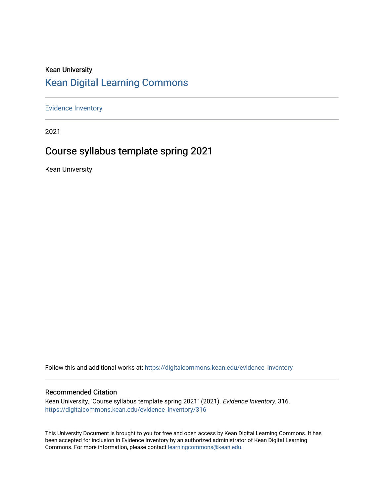# Kean University [Kean Digital Learning Commons](https://digitalcommons.kean.edu/)

[Evidence Inventory](https://digitalcommons.kean.edu/evidence_inventory) 

2021

# Course syllabus template spring 2021

Kean University

Follow this and additional works at: [https://digitalcommons.kean.edu/evidence\\_inventory](https://digitalcommons.kean.edu/evidence_inventory?utm_source=digitalcommons.kean.edu%2Fevidence_inventory%2F316&utm_medium=PDF&utm_campaign=PDFCoverPages)

#### Recommended Citation

Kean University, "Course syllabus template spring 2021" (2021). Evidence Inventory. 316. [https://digitalcommons.kean.edu/evidence\\_inventory/316](https://digitalcommons.kean.edu/evidence_inventory/316?utm_source=digitalcommons.kean.edu%2Fevidence_inventory%2F316&utm_medium=PDF&utm_campaign=PDFCoverPages)

This University Document is brought to you for free and open access by Kean Digital Learning Commons. It has been accepted for inclusion in Evidence Inventory by an authorized administrator of Kean Digital Learning Commons. For more information, please contact [learningcommons@kean.edu.](mailto:learningcommons@kean.edu)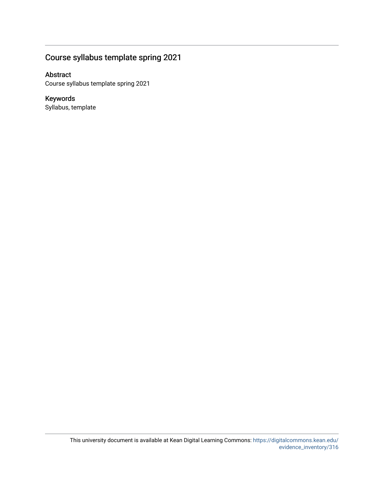## Course syllabus template spring 2021

### Abstract

Course syllabus template spring 2021

## Keywords

Syllabus, template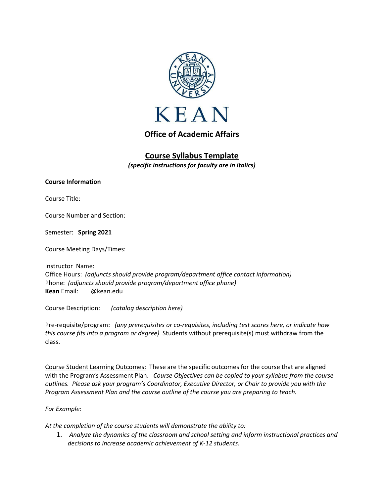

## **Office of Academic Affairs**

# **Course Syllabus Template**

*(specific instructions for faculty are in italics)*

**Course Information**

Course Title:

Course Number and Section:

Semester: **Spring 2021**

Course Meeting Days/Times:

Instructor Name: Office Hours: *(adjuncts should provide program/department office contact information)* Phone: *(adjuncts should provide program/department office phone)* **Kean** Email: @kean.edu

Course Description: *(catalog description here)*

Pre-requisite/program: *(any prerequisites or co-requisites, including test scores here, or indicate how this course fits into a program or degree)* Students without prerequisite(s) must withdraw from the class.

Course Student Learning Outcomes: These are the specific outcomes for the course that are aligned with the Program's Assessment Plan. *Course Objectives can be copied to your syllabus from the course outlines. Please ask your program's Coordinator, Executive Director, or Chair to provide you with the Program Assessment Plan and the course outline of the course you are preparing to teach.*

*For Example:*

*At the completion of the course students will demonstrate the ability to:*

1. *Analyze the dynamics of the classroom and school setting and inform instructional practices and decisions to increase academic achievement of K-12 students.*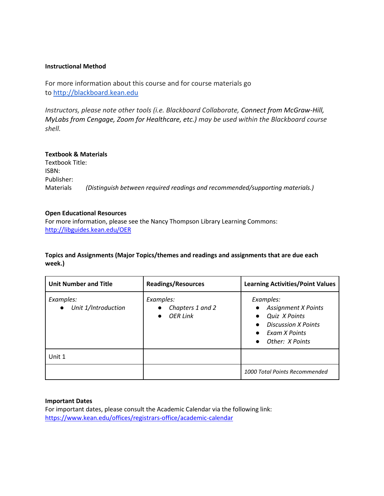#### **Instructional Method**

For more information about this course and for course materials go to [http://blackboard.kean.edu](http://blackboard.kean.edu/)

*Instructors, please note other tools (i.e. Blackboard Collaborate, Connect from McGraw-Hill, MyLabs from Cengage, Zoom for Healthcare, etc.) may be used within the Blackboard course shell.*

#### **Textbook & Materials**

Textbook Title: ISBN: Publisher: Materials *(Distinguish between required readings and recommended/supporting materials.)*

#### **Open Educational Resources**

For more information, please see the Nancy Thompson Library Learning Commons: <http://libguides.kean.edu/OER>

#### **Topics and Assignments (Major Topics/themes and readings and assignments that are due each week.)**

| <b>Unit Number and Title</b>                  | <b>Readings/Resources</b>                        | <b>Learning Activities/Point Values</b>                                                                                                 |
|-----------------------------------------------|--------------------------------------------------|-----------------------------------------------------------------------------------------------------------------------------------------|
| Examples:<br>Unit 1/Introduction<br>$\bullet$ | Examples:<br>Chapters 1 and 2<br><b>OER Link</b> | Examples:<br><b>Assignment X Points</b><br>Quiz X Points<br><b>Discussion X Points</b><br>Exam X Points<br>Other: X Points<br>$\bullet$ |
| Unit 1                                        |                                                  |                                                                                                                                         |
|                                               |                                                  | 1000 Total Points Recommended                                                                                                           |

#### **Important Dates**

For important dates, please consult the Academic Calendar via the following link: <https://www.kean.edu/offices/registrars-office/academic-calendar>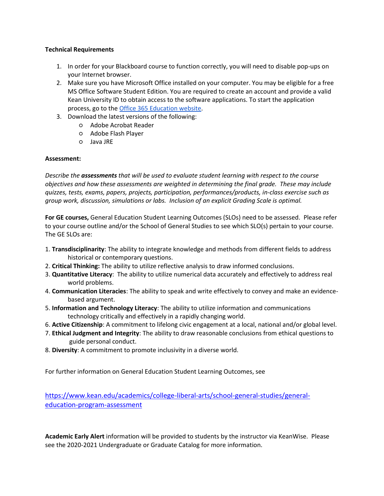#### **Technical Requirements**

- 1. In order for your Blackboard course to function correctly, you will need to disable pop-ups on your Internet browser.
- 2. Make sure you have Microsoft Office installed on your computer. You may be eligible for a free MS Office Software Student Edition. You are required to create an account and provide a valid Kean University ID to obtain access to the software applications. To start the application process, go to the [Office 365 Education website.](https://www.microsoft.com/en-us/education/products/office)
- 3. Download the latest versions of the following:
	- Adobe Acrobat Reader
	- Adobe Flash Player
	- Java JRE

#### **Assessment:**

*Describe the assessments that will be used to evaluate student learning with respect to the course objectives and how these assessments are weighted in determining the final grade. These may include quizzes, tests, exams, papers, projects, participation, performances/products, in-class exercise such as group work, discussion, simulations or labs. Inclusion of an explicit Grading Scale is optimal.*

**For GE courses,** General Education Student Learning Outcomes (SLOs) need to be assessed.Please refer to your course outline and/or the School of General Studies to see which SLO(s) pertain to your course. The GE SLOs are:

- 1. **Transdisciplinarity**: The ability to integrate knowledge and methods from different fields to address historical or contemporary questions.
- 2. **Critical Thinking:** The ability to utilize reflective analysis to draw informed conclusions.
- 3. **Quantitative Literacy**: The ability to utilize numerical data accurately and effectively to address real world problems.
- 4. **Communication Literacies**: The ability to speak and write effectively to convey and make an evidencebased argument.
- 5. **Information and Technology Literacy**: The ability to utilize information and communications technology critically and effectively in a rapidly changing world.
- 6. **Active Citizenship**: A commitment to lifelong civic engagement at a local, national and/or global level.
- 7. **Ethical Judgment and Integrity**: The ability to draw reasonable conclusions from ethical questions to guide personal conduct.
- 8. **Diversity**: A commitment to promote inclusivity in a diverse world.

For further information on General Education Student Learning Outcomes, see

[https://www.kean.edu/academics/college-liberal-arts/school-general-studies/general](https://www.kean.edu/academics/college-liberal-arts/school-general-studies/general-education-program-assessment)[education-program-assessment](https://www.kean.edu/academics/college-liberal-arts/school-general-studies/general-education-program-assessment)

**Academic Early Alert** information will be provided to students by the instructor via KeanWise. Please see the 2020-2021 Undergraduate or Graduate Catalog for more information.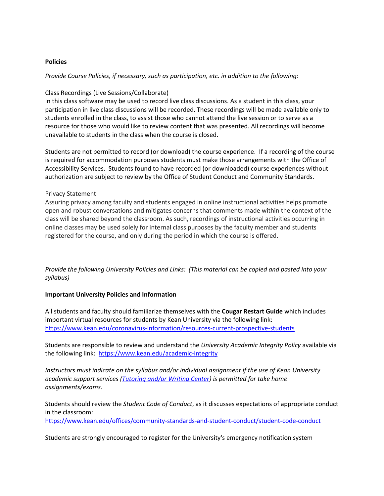#### **Policies**

*Provide Course Policies, if necessary, such as participation, etc. in addition to the following:*

#### Class Recordings (Live Sessions/Collaborate)

In this class software may be used to record live class discussions. As a student in this class, your participation in live class discussions will be recorded. These recordings will be made available only to students enrolled in the class, to assist those who cannot attend the live session or to serve as a resource for those who would like to review content that was presented. All recordings will become unavailable to students in the class when the course is closed.

Students are not permitted to record (or download) the course experience. If a recording of the course is required for accommodation purposes students must make those arrangements with the Office of Accessibility Services. Students found to have recorded (or downloaded) course experiences without authorization are subject to review by the Office of Student Conduct and Community Standards.

#### Privacy Statement

Assuring privacy among faculty and students engaged in online instructional activities helps promote open and robust conversations and mitigates concerns that comments made within the context of the class will be shared beyond the classroom. As such, recordings of instructional activities occurring in online classes may be used solely for internal class purposes by the faculty member and students registered for the course, and only during the period in which the course is offered.

*Provide the following University Policies and Links: (This material can be copied and pasted into your syllabus)*

#### **Important University Policies and Information**

All students and faculty should familiarize themselves with the **Cougar Restart Guide** which includes important virtual resources for students by Kean University via the following link: <https://www.kean.edu/coronavirus-information/resources-current-prospective-students>

Students are responsible to review and understand the *University Academic Integrity Policy* available via the following link: <https://www.kean.edu/academic-integrity>

*Instructors must indicate on the syllabus and/or individual assignment if the use of Kean University academic support services [\(Tutoring and/or Writing Center\)](https://libguides.kean.edu/NTLC) is permitted for take home assignments/exams.*

Students should review the *Student Code of Conduct*, as it discusses expectations of appropriate conduct in the classroom:

<https://www.kean.edu/offices/community-standards-and-student-conduct/student-code-conduct>

Students are strongly encouraged to register for the University's emergency notification system